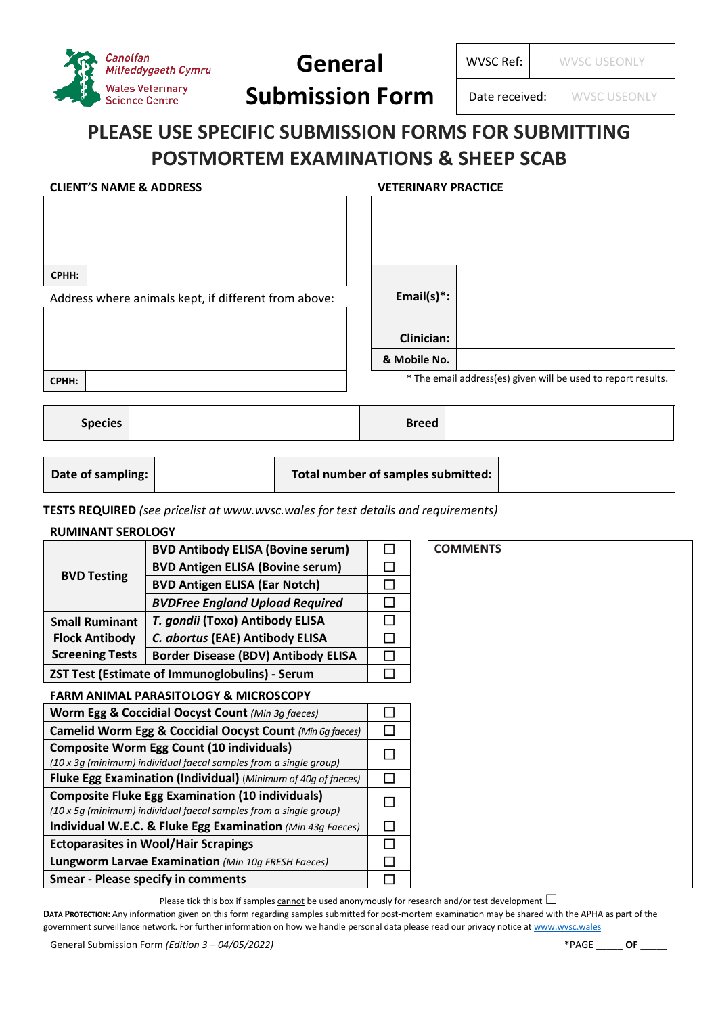

# **General Submission Form**

WVSC Ref: WVSC USEONLY

Date received: WWSC USEONLY

## **PLEASE USE SPECIFIC SUBMISSION FORMS FOR SUBMITTING POSTMORTEM EXAMINATIONS & SHEEP SCAB**

### **CLIENT'S NAME & ADDRESS VETERINARY PRACTICE**

| CPHH:                                                                              |  |  |  |                                                               |  |                   |  |  |  |
|------------------------------------------------------------------------------------|--|--|--|---------------------------------------------------------------|--|-------------------|--|--|--|
| Address where animals kept, if different from above:                               |  |  |  |                                                               |  | Email(s) $*$ :    |  |  |  |
|                                                                                    |  |  |  |                                                               |  |                   |  |  |  |
|                                                                                    |  |  |  |                                                               |  | <b>Clinician:</b> |  |  |  |
|                                                                                    |  |  |  |                                                               |  | & Mobile No.      |  |  |  |
| CPHH:                                                                              |  |  |  | * The email address(es) given will be used to report results. |  |                   |  |  |  |
|                                                                                    |  |  |  |                                                               |  |                   |  |  |  |
| <b>Species</b>                                                                     |  |  |  |                                                               |  | <b>Breed</b>      |  |  |  |
|                                                                                    |  |  |  |                                                               |  |                   |  |  |  |
| Date of sampling:                                                                  |  |  |  | Total number of samples submitted:                            |  |                   |  |  |  |
| TESTS REQUIRED (see pricelist at www.wvsc.wales for test details and requirements) |  |  |  |                                                               |  |                   |  |  |  |

## **RUMINANT SEROLOGY**

| NUIVIIIVAIVI JENULUU I                                                                                                       |                                                       |        |                 |
|------------------------------------------------------------------------------------------------------------------------------|-------------------------------------------------------|--------|-----------------|
|                                                                                                                              | <b>BVD Antibody ELISA (Bovine serum)</b>              | Π      | <b>COMMENTS</b> |
|                                                                                                                              | <b>BVD Antigen ELISA (Bovine serum)</b>               | П      |                 |
| <b>BVD Testing</b>                                                                                                           | <b>BVD Antigen ELISA (Ear Notch)</b>                  | $\Box$ |                 |
|                                                                                                                              | <b>BVDFree England Upload Required</b>                | П      |                 |
| <b>Small Ruminant</b>                                                                                                        | T. gondii (Toxo) Antibody ELISA                       | $\Box$ |                 |
| <b>Flock Antibody</b>                                                                                                        | C. abortus (EAE) Antibody ELISA                       | П      |                 |
| <b>Screening Tests</b>                                                                                                       | <b>Border Disease (BDV) Antibody ELISA</b>            | $\Box$ |                 |
|                                                                                                                              | <b>ZST Test (Estimate of Immunoglobulins) - Serum</b> | $\Box$ |                 |
|                                                                                                                              | <b>FARM ANIMAL PARASITOLOGY &amp; MICROSCOPY</b>      |        |                 |
| Worm Egg & Coccidial Oocyst Count (Min 3g faeces)                                                                            |                                                       |        |                 |
| Camelid Worm Egg & Coccidial Oocyst Count (Min 6g faeces)                                                                    |                                                       |        |                 |
| <b>Composite Worm Egg Count (10 individuals)</b>                                                                             |                                                       |        |                 |
| (10 x 3g (minimum) individual faecal samples from a single group)                                                            |                                                       |        |                 |
| Fluke Egg Examination (Individual) (Minimum of 40g of faeces)                                                                |                                                       |        |                 |
| <b>Composite Fluke Egg Examination (10 individuals)</b><br>(10 x 5g (minimum) individual faecal samples from a single group) |                                                       |        |                 |
| Individual W.E.C. & Fluke Egg Examination (Min 43g Faeces)                                                                   |                                                       |        |                 |
| <b>Ectoparasites in Wool/Hair Scrapings</b>                                                                                  |                                                       |        |                 |
| Lungworm Larvae Examination (Min 10g FRESH Faeces)                                                                           |                                                       |        |                 |
| <b>Smear - Please specify in comments</b>                                                                                    |                                                       |        |                 |
|                                                                                                                              |                                                       |        |                 |

Please tick this box if samples  $\frac{\text{cannot}}{\text{cannot}}$  be used anonymously for research and/or test development  $\Box$ 

**DATA PROTECTION:** Any information given on this form regarding samples submitted for post-mortem examination may be shared with the APHA as part of the government surveillance network. For further information on how we handle personal data please read our privacy notice a[t www.wvsc.wales](http://www.wvsc.wales/)